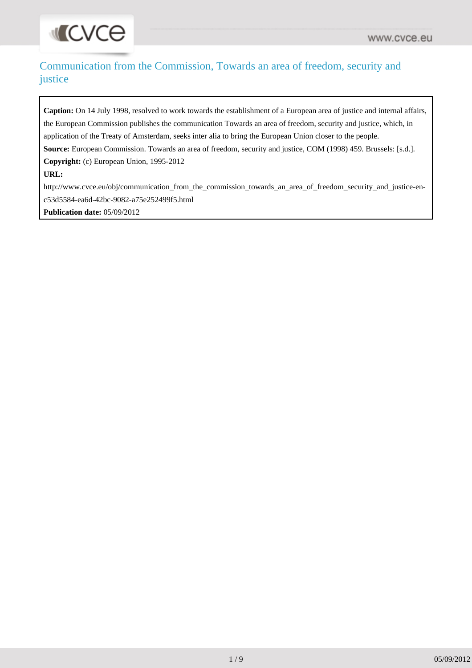# Communication from the Commission, Towards an area of freedom, security and justice

Caption: On 14 July 1998, resolved to work towards the establishment of a European area of justice and internal affairs, the European Commission publishes the communication Towards an area of freedom, security and justice, which, in application of the Treaty of Amsterdam, seeks inter alia to bring the European Union closer to the people. **Source:** European Commission. Towards an area of freedom, security and justice, COM (1998) 459. Brussels: [s.d.]. **Copyright:** (c) European Union, 1995-2012 **URL:** [http://www.cvce.eu/obj/communication\\_from\\_the\\_commission\\_towards\\_an\\_area\\_of\\_freedom\\_security\\_and\\_justice-en](http://www.cvce.eu/obj/communication_from_the_commission_towards_an_area_of_freedom_security_and_justice-en-c53d5584-ea6d-42bc-9082-a75e252499f5.html)[c53d5584-ea6d-42bc-9082-a75e252499f5.html](http://www.cvce.eu/obj/communication_from_the_commission_towards_an_area_of_freedom_security_and_justice-en-c53d5584-ea6d-42bc-9082-a75e252499f5.html)

**Publication date:** 05/09/2012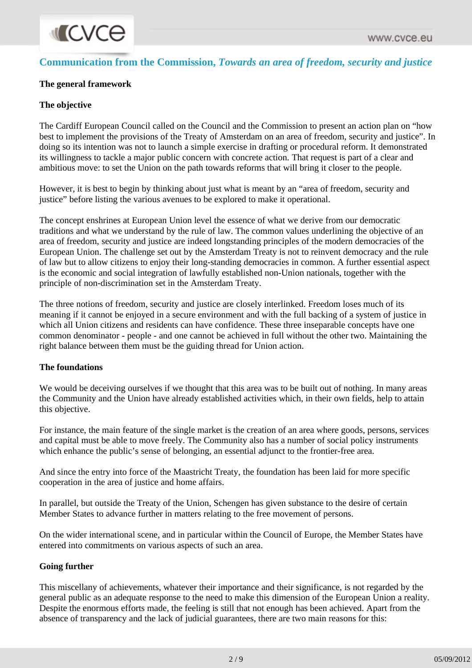# **Communication from the Commission,** *Towards an area of freedom, security and justice*

## **The general framework**

#### **The objective**

The Cardiff European Council called on the Council and the Commission to present an action plan on "how best to implement the provisions of the Treaty of Amsterdam on an area of freedom, security and justice". In doing so its intention was not to launch a simple exercise in drafting or procedural reform. It demonstrated its willingness to tackle a major public concern with concrete action. That request is part of a clear and ambitious move: to set the Union on the path towards reforms that will bring it closer to the people.

However, it is best to begin by thinking about just what is meant by an "area of freedom, security and justice" before listing the various avenues to be explored to make it operational.

The concept enshrines at European Union level the essence of what we derive from our democratic traditions and what we understand by the rule of law. The common values underlining the objective of an area of freedom, security and justice are indeed longstanding principles of the modern democracies of the European Union. The challenge set out by the Amsterdam Treaty is not to reinvent democracy and the rule of law but to allow citizens to enjoy their long-standing democracies in common. A further essential aspect is the economic and social integration of lawfully established non-Union nationals, together with the principle of non-discrimination set in the Amsterdam Treaty.

The three notions of freedom, security and justice are closely interlinked. Freedom loses much of its meaning if it cannot be enjoyed in a secure environment and with the full backing of a system of justice in which all Union citizens and residents can have confidence. These three inseparable concepts have one common denominator - people - and one cannot be achieved in full without the other two. Maintaining the right balance between them must be the guiding thread for Union action.

#### **The foundations**

We would be deceiving ourselves if we thought that this area was to be built out of nothing. In many areas the Community and the Union have already established activities which, in their own fields, help to attain this objective.

For instance, the main feature of the single market is the creation of an area where goods, persons, services and capital must be able to move freely. The Community also has a number of social policy instruments which enhance the public's sense of belonging, an essential adjunct to the frontier-free area.

And since the entry into force of the Maastricht Treaty, the foundation has been laid for more specific cooperation in the area of justice and home affairs.

In parallel, but outside the Treaty of the Union, Schengen has given substance to the desire of certain Member States to advance further in matters relating to the free movement of persons.

On the wider international scene, and in particular within the Council of Europe, the Member States have entered into commitments on various aspects of such an area.

#### **Going further**

This miscellany of achievements, whatever their importance and their significance, is not regarded by the general public as an adequate response to the need to make this dimension of the European Union a reality. Despite the enormous efforts made, the feeling is still that not enough has been achieved. Apart from the absence of transparency and the lack of judicial guarantees, there are two main reasons for this: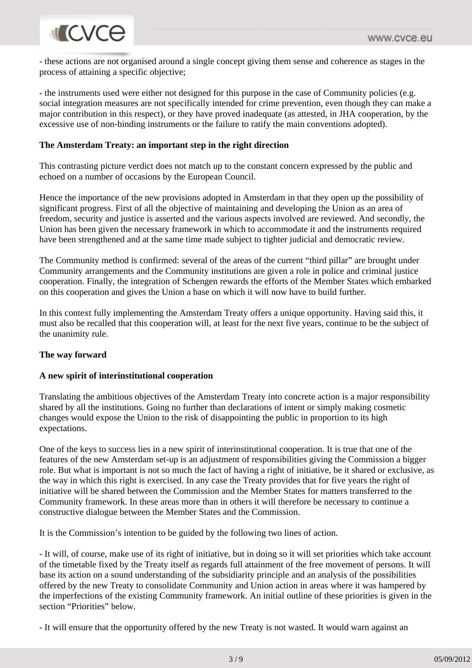# **MICVCO**

- these actions are not organised around a single concept giving them sense and coherence as stages in the process of attaining a specific objective;

- the instruments used were either not designed for this purpose in the case of Community policies (e.g. social integration measures are not specifically intended for crime prevention, even though they can make a major contribution in this respect), or they have proved inadequate (as attested, in JHA cooperation, by the excessive use of non-binding instruments or the failure to ratify the main conventions adopted).

#### **The Amsterdam Treaty: an important step in the right direction**

This contrasting picture verdict does not match up to the constant concern expressed by the public and echoed on a number of occasions by the European Council.

Hence the importance of the new provisions adopted in Amsterdam in that they open up the possibility of significant progress. First of all the objective of maintaining and developing the Union as an area of freedom, security and justice is asserted and the various aspects involved are reviewed. And secondly, the Union has been given the necessary framework in which to accommodate it and the instruments required have been strengthened and at the same time made subject to tighter judicial and democratic review.

The Community method is confirmed: several of the areas of the current "third pillar" are brought under Community arrangements and the Community institutions are given a role in police and criminal justice cooperation. Finally, the integration of Schengen rewards the efforts of the Member States which embarked on this cooperation and gives the Union a base on which it will now have to build further.

In this context fully implementing the Amsterdam Treaty offers a unique opportunity. Having said this, it must also be recalled that this cooperation will, at least for the next five years, continue to be the subject of the unanimity rule.

# **The way forward**

#### **A new spirit of interinstitutional cooperation**

Translating the ambitious objectives of the Amsterdam Treaty into concrete action is a major responsibility shared by all the institutions. Going no further than declarations of intent or simply making cosmetic changes would expose the Union to the risk of disappointing the public in proportion to its high expectations.

One of the keys to success lies in a new spirit of interinstitutional cooperation. It is true that one of the features of the new Amsterdam set-up is an adjustment of responsibilities giving the Commission a bigger role. But what is important is not so much the fact of having a right of initiative, be it shared or exclusive, as the way in which this right is exercised. In any case the Treaty provides that for five years the right of initiative will be shared between the Commission and the Member States for matters transferred to the Community framework. In these areas more than in others it will therefore be necessary to continue a constructive dialogue between the Member States and the Commission.

It is the Commission's intention to be guided by the following two lines of action.

- It will, of course, make use of its right of initiative, but in doing so it will set priorities which take account of the timetable fixed by the Treaty itself as regards full attainment of the free movement of persons. It will base its action on a sound understanding of the subsidiarity principle and an analysis of the possibilities offered by the new Treaty to consolidate Community and Union action in areas where it was hampered by the imperfections of the existing Community framework. An initial outline of these priorities is given in the section "Priorities" below.

- It will ensure that the opportunity offered by the new Treaty is not wasted. It would warn against an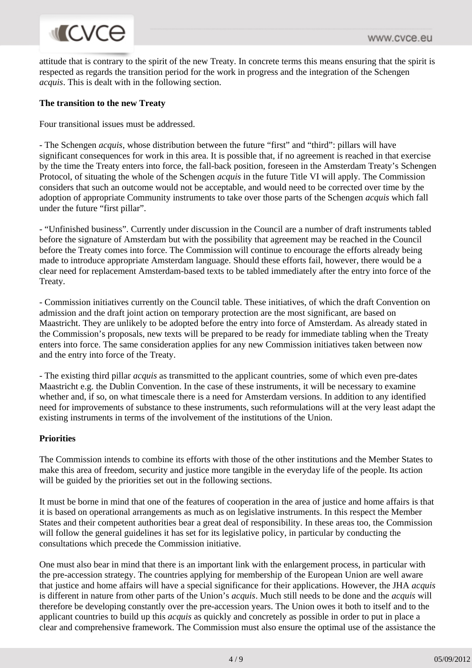# **ILCVCe**

attitude that is contrary to the spirit of the new Treaty. In concrete terms this means ensuring that the spirit is respected as regards the transition period for the work in progress and the integration of the Schengen *acquis*. This is dealt with in the following section.

## **The transition to the new Treaty**

Four transitional issues must be addressed.

- The Schengen *acquis*, whose distribution between the future "first" and "third": pillars will have significant consequences for work in this area. It is possible that, if no agreement is reached in that exercise by the time the Treaty enters into force, the fall-back position, foreseen in the Amsterdam Treaty's Schengen Protocol, of situating the whole of the Schengen *acquis* in the future Title VI will apply. The Commission considers that such an outcome would not be acceptable, and would need to be corrected over time by the adoption of appropriate Community instruments to take over those parts of the Schengen *acquis* which fall under the future "first pillar".

- "Unfinished business". Currently under discussion in the Council are a number of draft instruments tabled before the signature of Amsterdam but with the possibility that agreement may be reached in the Council before the Treaty comes into force. The Commission will continue to encourage the efforts already being made to introduce appropriate Amsterdam language. Should these efforts fail, however, there would be a clear need for replacement Amsterdam-based texts to be tabled immediately after the entry into force of the Treaty.

- Commission initiatives currently on the Council table. These initiatives, of which the draft Convention on admission and the draft joint action on temporary protection are the most significant, are based on Maastricht. They are unlikely to be adopted before the entry into force of Amsterdam. As already stated in the Commission's proposals, new texts will be prepared to be ready for immediate tabling when the Treaty enters into force. The same consideration applies for any new Commission initiatives taken between now and the entry into force of the Treaty.

- The existing third pillar *acquis* as transmitted to the applicant countries, some of which even pre-dates Maastricht e.g. the Dublin Convention. In the case of these instruments, it will be necessary to examine whether and, if so, on what timescale there is a need for Amsterdam versions. In addition to any identified need for improvements of substance to these instruments, such reformulations will at the very least adapt the existing instruments in terms of the involvement of the institutions of the Union.

#### **Priorities**

The Commission intends to combine its efforts with those of the other institutions and the Member States to make this area of freedom, security and justice more tangible in the everyday life of the people. Its action will be guided by the priorities set out in the following sections.

It must be borne in mind that one of the features of cooperation in the area of justice and home affairs is that it is based on operational arrangements as much as on legislative instruments. In this respect the Member States and their competent authorities bear a great deal of responsibility. In these areas too, the Commission will follow the general guidelines it has set for its legislative policy, in particular by conducting the consultations which precede the Commission initiative.

One must also bear in mind that there is an important link with the enlargement process, in particular with the pre-accession strategy. The countries applying for membership of the European Union are well aware that justice and home affairs will have a special significance for their applications. However, the JHA *acquis* is different in nature from other parts of the Union's *acquis*. Much still needs to be done and the *acquis* will therefore be developing constantly over the pre-accession years. The Union owes it both to itself and to the applicant countries to build up this *acquis* as quickly and concretely as possible in order to put in place a clear and comprehensive framework. The Commission must also ensure the optimal use of the assistance the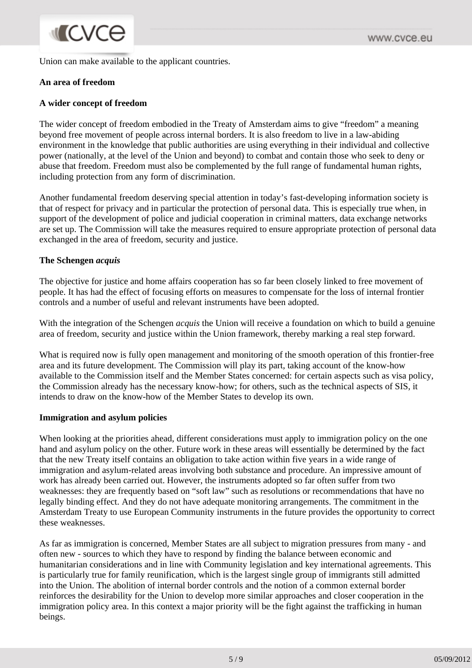Union can make available to the applicant countries.

#### **An area of freedom**

#### **A wider concept of freedom**

The wider concept of freedom embodied in the Treaty of Amsterdam aims to give "freedom" a meaning beyond free movement of people across internal borders. It is also freedom to live in a law-abiding environment in the knowledge that public authorities are using everything in their individual and collective power (nationally, at the level of the Union and beyond) to combat and contain those who seek to deny or abuse that freedom. Freedom must also be complemented by the full range of fundamental human rights, including protection from any form of discrimination.

Another fundamental freedom deserving special attention in today's fast-developing information society is that of respect for privacy and in particular the protection of personal data. This is especially true when, in support of the development of police and judicial cooperation in criminal matters, data exchange networks are set up. The Commission will take the measures required to ensure appropriate protection of personal data exchanged in the area of freedom, security and justice.

#### **The Schengen** *acquis*

The objective for justice and home affairs cooperation has so far been closely linked to free movement of people. It has had the effect of focusing efforts on measures to compensate for the loss of internal frontier controls and a number of useful and relevant instruments have been adopted.

With the integration of the Schengen *acquis* the Union will receive a foundation on which to build a genuine area of freedom, security and justice within the Union framework, thereby marking a real step forward.

What is required now is fully open management and monitoring of the smooth operation of this frontier-free area and its future development. The Commission will play its part, taking account of the know-how available to the Commission itself and the Member States concerned: for certain aspects such as visa policy, the Commission already has the necessary know-how; for others, such as the technical aspects of SIS, it intends to draw on the know-how of the Member States to develop its own.

#### **Immigration and asylum policies**

When looking at the priorities ahead, different considerations must apply to immigration policy on the one hand and asylum policy on the other. Future work in these areas will essentially be determined by the fact that the new Treaty itself contains an obligation to take action within five years in a wide range of immigration and asylum-related areas involving both substance and procedure. An impressive amount of work has already been carried out. However, the instruments adopted so far often suffer from two weaknesses: they are frequently based on "soft law" such as resolutions or recommendations that have no legally binding effect. And they do not have adequate monitoring arrangements. The commitment in the Amsterdam Treaty to use European Community instruments in the future provides the opportunity to correct these weaknesses.

As far as immigration is concerned, Member States are all subject to migration pressures from many - and often new - sources to which they have to respond by finding the balance between economic and humanitarian considerations and in line with Community legislation and key international agreements. This is particularly true for family reunification, which is the largest single group of immigrants still admitted into the Union. The abolition of internal border controls and the notion of a common external border reinforces the desirability for the Union to develop more similar approaches and closer cooperation in the immigration policy area. In this context a major priority will be the fight against the trafficking in human beings.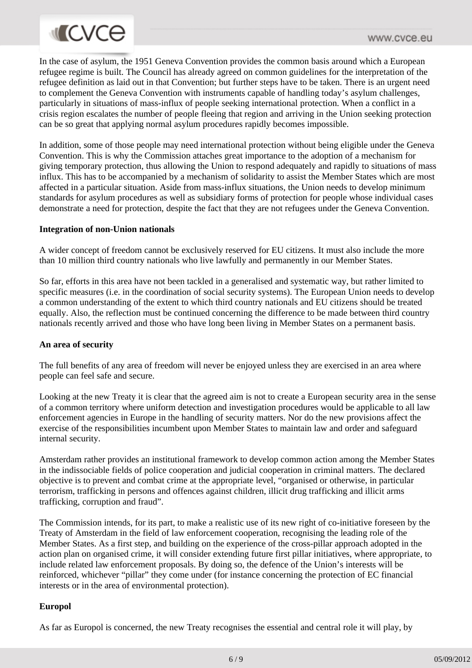

In the case of asylum, the 1951 Geneva Convention provides the common basis around which a European refugee regime is built. The Council has already agreed on common guidelines for the interpretation of the refugee definition as laid out in that Convention; but further steps have to be taken. There is an urgent need to complement the Geneva Convention with instruments capable of handling today's asylum challenges, particularly in situations of mass-influx of people seeking international protection. When a conflict in a crisis region escalates the number of people fleeing that region and arriving in the Union seeking protection can be so great that applying normal asylum procedures rapidly becomes impossible.

In addition, some of those people may need international protection without being eligible under the Geneva Convention. This is why the Commission attaches great importance to the adoption of a mechanism for giving temporary protection, thus allowing the Union to respond adequately and rapidly to situations of mass influx. This has to be accompanied by a mechanism of solidarity to assist the Member States which are most affected in a particular situation. Aside from mass-influx situations, the Union needs to develop minimum standards for asylum procedures as well as subsidiary forms of protection for people whose individual cases demonstrate a need for protection, despite the fact that they are not refugees under the Geneva Convention.

#### **Integration of non-Union nationals**

A wider concept of freedom cannot be exclusively reserved for EU citizens. It must also include the more than 10 million third country nationals who live lawfully and permanently in our Member States.

So far, efforts in this area have not been tackled in a generalised and systematic way, but rather limited to specific measures (i.e. in the coordination of social security systems). The European Union needs to develop a common understanding of the extent to which third country nationals and EU citizens should be treated equally. Also, the reflection must be continued concerning the difference to be made between third country nationals recently arrived and those who have long been living in Member States on a permanent basis.

#### **An area of security**

The full benefits of any area of freedom will never be enjoyed unless they are exercised in an area where people can feel safe and secure.

Looking at the new Treaty it is clear that the agreed aim is not to create a European security area in the sense of a common territory where uniform detection and investigation procedures would be applicable to all law enforcement agencies in Europe in the handling of security matters. Nor do the new provisions affect the exercise of the responsibilities incumbent upon Member States to maintain law and order and safeguard internal security.

Amsterdam rather provides an institutional framework to develop common action among the Member States in the indissociable fields of police cooperation and judicial cooperation in criminal matters. The declared objective is to prevent and combat crime at the appropriate level, "organised or otherwise, in particular terrorism, trafficking in persons and offences against children, illicit drug trafficking and illicit arms trafficking, corruption and fraud".

The Commission intends, for its part, to make a realistic use of its new right of co-initiative foreseen by the Treaty of Amsterdam in the field of law enforcement cooperation, recognising the leading role of the Member States. As a first step, and building on the experience of the cross-pillar approach adopted in the action plan on organised crime, it will consider extending future first pillar initiatives, where appropriate, to include related law enforcement proposals. By doing so, the defence of the Union's interests will be reinforced, whichever "pillar" they come under (for instance concerning the protection of EC financial interests or in the area of environmental protection).

#### **Europol**

As far as Europol is concerned, the new Treaty recognises the essential and central role it will play, by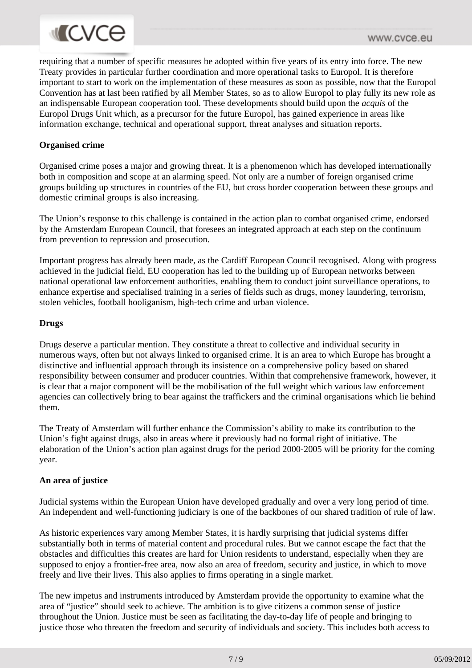requiring that a number of specific measures be adopted within five years of its entry into force. The new Treaty provides in particular further coordination and more operational tasks to Europol. It is therefore important to start to work on the implementation of these measures as soon as possible, now that the Europol Convention has at last been ratified by all Member States, so as to allow Europol to play fully its new role as an indispensable European cooperation tool. These developments should build upon the *acquis* of the Europol Drugs Unit which, as a precursor for the future Europol, has gained experience in areas like information exchange, technical and operational support, threat analyses and situation reports.

### **Organised crime**

Organised crime poses a major and growing threat. It is a phenomenon which has developed internationally both in composition and scope at an alarming speed. Not only are a number of foreign organised crime groups building up structures in countries of the EU, but cross border cooperation between these groups and domestic criminal groups is also increasing.

The Union's response to this challenge is contained in the action plan to combat organised crime, endorsed by the Amsterdam European Council, that foresees an integrated approach at each step on the continuum from prevention to repression and prosecution.

Important progress has already been made, as the Cardiff European Council recognised. Along with progress achieved in the judicial field, EU cooperation has led to the building up of European networks between national operational law enforcement authorities, enabling them to conduct joint surveillance operations, to enhance expertise and specialised training in a series of fields such as drugs, money laundering, terrorism, stolen vehicles, football hooliganism, high-tech crime and urban violence.

## **Drugs**

Drugs deserve a particular mention. They constitute a threat to collective and individual security in numerous ways, often but not always linked to organised crime. It is an area to which Europe has brought a distinctive and influential approach through its insistence on a comprehensive policy based on shared responsibility between consumer and producer countries. Within that comprehensive framework, however, it is clear that a major component will be the mobilisation of the full weight which various law enforcement agencies can collectively bring to bear against the traffickers and the criminal organisations which lie behind them.

The Treaty of Amsterdam will further enhance the Commission's ability to make its contribution to the Union's fight against drugs, also in areas where it previously had no formal right of initiative. The elaboration of the Union's action plan against drugs for the period 2000-2005 will be priority for the coming year.

#### **An area of justice**

Judicial systems within the European Union have developed gradually and over a very long period of time. An independent and well-functioning judiciary is one of the backbones of our shared tradition of rule of law.

As historic experiences vary among Member States, it is hardly surprising that judicial systems differ substantially both in terms of material content and procedural rules. But we cannot escape the fact that the obstacles and difficulties this creates are hard for Union residents to understand, especially when they are supposed to enjoy a frontier-free area, now also an area of freedom, security and justice, in which to move freely and live their lives. This also applies to firms operating in a single market.

The new impetus and instruments introduced by Amsterdam provide the opportunity to examine what the area of "justice" should seek to achieve. The ambition is to give citizens a common sense of justice throughout the Union. Justice must be seen as facilitating the day-to-day life of people and bringing to justice those who threaten the freedom and security of individuals and society. This includes both access to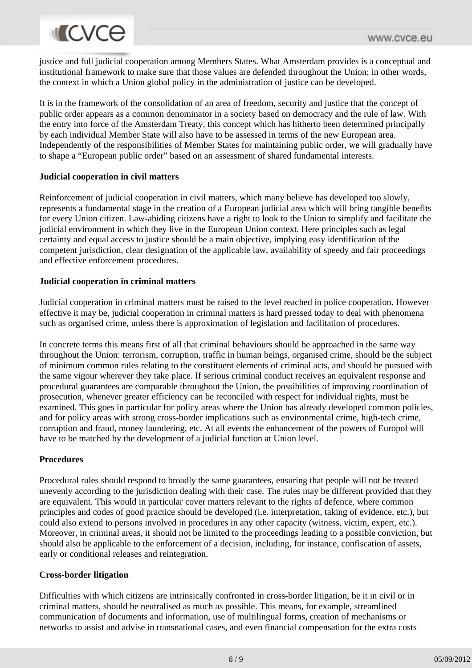# **MICVCO**

justice and full judicial cooperation among Members States. What Amsterdam provides is a conceptual and institutional framework to make sure that those values are defended throughout the Union; in other words, the context in which a Union global policy in the administration of justice can be developed.

It is in the framework of the consolidation of an area of freedom, security and justice that the concept of public order appears as a common denominator in a society based on democracy and the rule of law. With the entry into force of the Amsterdam Treaty, this concept which has hitherto been determined principally by each individual Member State will also have to be assessed in terms of the new European area. Independently of the responsibilities of Member States for maintaining public order, we will gradually have to shape a "European public order" based on an assessment of shared fundamental interests.

# **Judicial cooperation in civil matters**

Reinforcement of judicial cooperation in civil matters, which many believe has developed too slowly, represents a fundamental stage in the creation of a European judicial area which will bring tangible benefits for every Union citizen. Law-abiding citizens have a right to look to the Union to simplify and facilitate the judicial environment in which they live in the European Union context. Here principles such as legal certainty and equal access to justice should be a main objective, implying easy identification of the competent jurisdiction, clear designation of the applicable law, availability of speedy and fair proceedings and effective enforcement procedures.

## **Judicial cooperation in criminal matters**

Judicial cooperation in criminal matters must be raised to the level reached in police cooperation. However effective it may be, judicial cooperation in criminal matters is hard pressed today to deal with phenomena such as organised crime, unless there is approximation of legislation and facilitation of procedures.

In concrete terms this means first of all that criminal behaviours should be approached in the same way throughout the Union: terrorism, corruption, traffic in human beings, organised crime, should be the subject of minimum common rules relating to the constituent elements of criminal acts, and should be pursued with the same vigour wherever they take place. If serious criminal conduct receives an equivalent response and procedural guarantees are comparable throughout the Union, the possibilities of improving coordination of prosecution, whenever greater efficiency can be reconciled with respect for individual rights, must be examined. This goes in particular for policy areas where the Union has already developed common policies, and for policy areas with strong cross-border implications such as environmental crime, high-tech crime, corruption and fraud, money laundering, etc. At all events the enhancement of the powers of Europol will have to be matched by the development of a judicial function at Union level.

# **Procedures**

Procedural rules should respond to broadly the same guarantees, ensuring that people will not be treated unevenly according to the jurisdiction dealing with their case. The rules may be different provided that they are equivalent. This would in particular cover matters relevant to the rights of defence, where common principles and codes of good practice should be developed (i.e. interpretation, taking of evidence, etc.), but could also extend to persons involved in procedures in any other capacity (witness, victim, expert, etc.). Moreover, in criminal areas, it should not be limited to the proceedings leading to a possible conviction, but should also be applicable to the enforcement of a decision, including, for instance, confiscation of assets, early or conditional releases and reintegration.

# **Cross-border litigation**

Difficulties with which citizens are intrinsically confronted in cross-border litigation, be it in civil or in criminal matters, should be neutralised as much as possible. This means, for example, streamlined communication of documents and information, use of multilingual forms, creation of mechanisms or networks to assist and advise in transnational cases, and even financial compensation for the extra costs